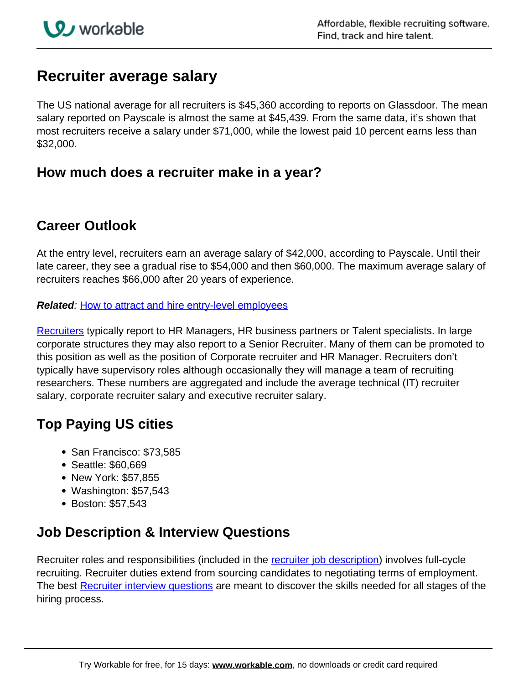# **Recruiter average salary**

The US national average for all recruiters is \$45,360 according to reports on Glassdoor. The mean salary reported on Payscale is almost the same at \$45,439. From the same data, it's shown that most recruiters receive a salary under \$71,000, while the lowest paid 10 percent earns less than \$32,000.

#### **How much does a recruiter make in a year?**

## **Career Outlook**

At the entry level, recruiters earn an average salary of \$42,000, according to Payscale. Until their late career, they see a gradual rise to \$54,000 and then \$60,000. The maximum average salary of recruiters reaches \$66,000 after 20 years of experience.

**Related**: [How to attract and hire entry-level employees](https://resources.workable.com/tutorial/entry-level-hire)

Recruiters typically report to HR Managers, HR business partners or Talent specialists. In large corporate structures they may also report to a Senior Recruiter. Many of them can be promoted to this position as well as the position of Corporate recruiter and HR Manager. Recruiters don't typically have supervisory roles although occasionally they will manage a team of recruiting researchers. These numbers are aggregated and include the average technical (IT) recruiter salary, corporate recruiter salary and executive recruiter salary.

## **Top Paying US cities**

- San Francisco: \$73,585
- Seattle: \$60,669
- New York: \$57,855
- Washington: \$57,543
- Boston: \$57,543

# **Job Description & Interview Questions**

Recruiter roles and responsibilities (included in the recruiter job description) involves full-cycle recruiting. Recruiter duties extend from sourcing candidates to negotiating terms of employment. The best Recruiter interview questions are meant to discover the skills needed for all stages of the hiring process.